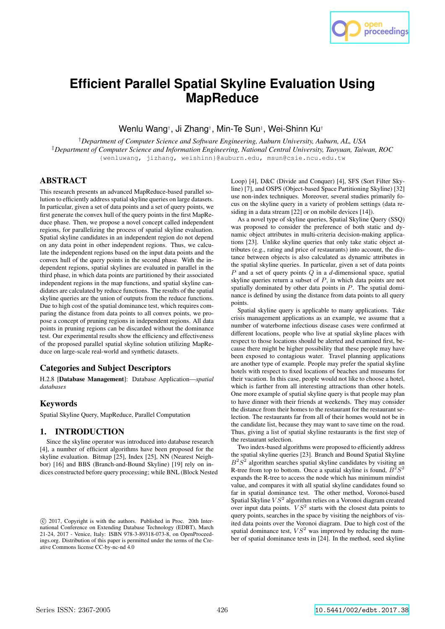

# **Efficient Parallel Spatial Skyline Evaluation Using MapReduce**

Wenlu Wang† , Ji Zhang† , Min-Te Sun‡ , Wei-Shinn Ku†

†*Department of Computer Science and Software Engineering, Auburn University, Auburn, AL, USA* ‡*Department of Computer Science and Information Engineering, National Central University, Taoyuan, Taiwan, ROC* {wenluwang, jizhang, weishinn}@auburn.edu, msun@csie.ncu.edu.tw

# ABSTRACT

This research presents an advanced MapReduce-based parallel solution to efficiently address spatial skyline queries on large datasets. In particular, given a set of data points and a set of query points, we first generate the convex hull of the query points in the first MapReduce phase. Then, we propose a novel concept called independent regions, for parallelizing the process of spatial skyline evaluation. Spatial skyline candidates in an independent region do not depend on any data point in other independent regions. Thus, we calculate the independent regions based on the input data points and the convex hull of the query points in the second phase. With the independent regions, spatial skylines are evaluated in parallel in the third phase, in which data points are partitioned by their associated independent regions in the map functions, and spatial skyline candidates are calculated by reduce functions. The results of the spatial skyline queries are the union of outputs from the reduce functions. Due to high cost of the spatial dominance test, which requires comparing the distance from data points to all convex points, we propose a concept of pruning regions in independent regions. All data points in pruning regions can be discarded without the dominance test. Our experimental results show the efficiency and effectiveness of the proposed parallel spatial skyline solution utilizing MapReduce on large-scale real-world and synthetic datasets.

#### Categories and Subject Descriptors

H.2.8 [Database Management]: Database Application—*spatial databases*

# Keywords

Spatial Skyline Query, MapReduce, Parallel Computation

# 1. INTRODUCTION

Since the skyline operator was introduced into database research [4], a number of efficient algorithms have been proposed for the skyline evaluation. Bitmap [25], Index [25], NN (Nearest Neighbor) [16] and BBS (Branch-and-Bound Skyline) [19] rely on indices constructed before query processing; while BNL (Block Nested Loop) [4], D&C (Divide and Conquer) [4], SFS (Sort Filter Skyline) [7], and OSPS (Object-based Space Partitioning Skyline) [32] use non-index techniques. Moreover, several studies primarily focus on the skyline query in a variety of problem settings (data residing in a data stream [22] or on mobile devices [14]).

As a novel type of skyline queries, Spatial Skyline Query (SSQ) was proposed to consider the preference of both static and dynamic object attributes in multi-criteria decision-making applications [23]. Unlike skyline queries that only take static object attributes (e.g., rating and price of restaurants) into account, the distance between objects is also calculated as dynamic attributes in the spatial skyline queries. In particular, given a set of data points P and a set of query points Q in a *d*-dimensional space, spatial skyline queries return a subset of  $P$ , in which data points are not spatially dominated by other data points in  $P$ . The spatial dominance is defined by using the distance from data points to all query points.

Spatial skyline query is applicable to many applications. Take crisis management applications as an example, we assume that a number of waterborne infectious disease cases were confirmed at different locations, people who live at spatial skyline places with respect to those locations should be alerted and examined first, because there might be higher possibility that these people may have been exposed to contagious water. Travel planning applications are another type of example. People may prefer the spatial skyline hotels with respect to fixed locations of beaches and museums for their vacation. In this case, people would not like to choose a hotel, which is farther from all interesting attractions than other hotels. One more example of spatial skyline query is that people may plan to have dinner with their friends at weekends. They may consider the distance from their homes to the restaurant for the restaurant selection. The restaurants far from all of their homes would not be in the candidate list, because they may want to save time on the road. Thus, giving a list of spatial skyline restaurants is the first step of the restaurant selection.

Two index-based algorithms were proposed to efficiently address the spatial skyline queries [23]. Branch and Bound Spatial Skyline  $B^2S^2$  algorithm searches spatial skyline candidates by visiting an R-tree from top to bottom. Once a spatial skyline is found,  $B^2S^2$ expands the R-tree to access the node which has minimum mindist value, and compares it with all spatial skyline candidates found so far in spatial dominance test. The other method, Voronoi-based Spatial Skyline  $VS^2$  algorithm relies on a Voronoi diagram created over input data points.  $VS^2$  starts with the closest data points to query points, searches in the space by visiting the neighbors of visited data points over the Voronoi diagram. Due to high cost of the spatial dominance test,  $VS^2$  was improved by reducing the number of spatial dominance tests in [24]. In the method, seed skyline

c 2017, Copyright is with the authors. Published in Proc. 20th International Conference on Extending Database Technology (EDBT), March 21-24, 2017 - Venice, Italy: ISBN 978-3-89318-073-8, on OpenProceedings.org. Distribution of this paper is permitted under the terms of the Creative Commons license CC-by-nc-nd 4.0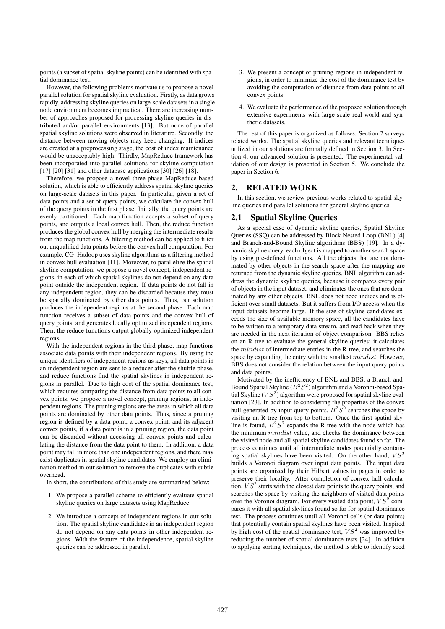points (a subset of spatial skyline points) can be identified with spatial dominance test.

However, the following problems motivate us to propose a novel parallel solution for spatial skyline evaluation. Firstly, as data grows rapidly, addressing skyline queries on large-scale datasets in a singlenode environment becomes impractical. There are increasing number of approaches proposed for processing skyline queries in distributed and/or parallel environments [13]. But none of parallel spatial skyline solutions were observed in literature. Secondly, the distance between moving objects may keep changing. If indices are created at a preprocessing stage, the cost of index maintenance would be unacceptably high. Thirdly, MapReduce framework has been incorporated into parallel solutions for skyline computation [17] [20] [31] and other database applications [30] [26] [18].

Therefore, we propose a novel three-phase MapReduce-based solution, which is able to efficiently address spatial skyline queries on large-scale datasets in this paper. In particular, given a set of data points and a set of query points, we calculate the convex hull of the query points in the first phase. Initially, the query points are evenly partitioned. Each map function accepts a subset of query points, and outputs a local convex hull. Then, the reduce function produces the global convex hull by merging the intermediate results from the map functions. A filtering method can be applied to filter out unqualified data points before the convex hull computation. For example, CG\_Hadoop uses skyline algorithms as a filtering method in convex hull evaluation [11]. Moreover, to parallelize the spatial skyline computation, we propose a novel concept, independent regions, in each of which spatial skylines do not depend on any data point outside the independent region. If data points do not fall in any independent region, they can be discarded because they must be spatially dominated by other data points. Thus, our solution produces the independent regions at the second phase. Each map function receives a subset of data points and the convex hull of query points, and generates locally optimized independent regions. Then, the reduce functions output globally optimized independent regions.

With the independent regions in the third phase, map functions associate data points with their independent regions. By using the unique identifiers of independent regions as keys, all data points in an independent region are sent to a reducer after the shuffle phase, and reduce functions find the spatial skylines in independent regions in parallel. Due to high cost of the spatial dominance test, which requires comparing the distance from data points to all convex points, we propose a novel concept, pruning regions, in independent regions. The pruning regions are the areas in which all data points are dominated by other data points. Thus, since a pruning region is defined by a data point, a convex point, and its adjacent convex points, if a data point is in a pruning region, the data point can be discarded without accessing all convex points and calculating the distance from the data point to them. In addition, a data point may fall in more than one independent regions, and there may exist duplicates in spatial skyline candidates. We employ an elimination method in our solution to remove the duplicates with subtle overhead.

In short, the contributions of this study are summarized below:

- 1. We propose a parallel scheme to efficiently evaluate spatial skyline queries on large datasets using MapReduce.
- 2. We introduce a concept of independent regions in our solution. The spatial skyline candidates in an independent region do not depend on any data points in other independent regions. With the feature of the independence, spatial skyline queries can be addressed in parallel.
- 3. We present a concept of pruning regions in independent regions, in order to minimize the cost of the dominance test by avoiding the computation of distance from data points to all convex points.
- 4. We evaluate the performance of the proposed solution through extensive experiments with large-scale real-world and synthetic datasets.

The rest of this paper is organized as follows. Section 2 surveys related works. The spatial skyline queries and relevant techniques utilized in our solutions are formally defined in Section 3. In Section 4, our advanced solution is presented. The experimental validation of our design is presented in Section 5. We conclude the paper in Section 6.

## 2. RELATED WORK

In this section, we review previous works related to spatial skyline queries and parallel solutions for general skyline queries.

# 2.1 Spatial Skyline Queries

As a special case of dynamic skyline queries, Spatial Skyline Queries (SSQ) can be addressed by Block Nested Loop (BNL) [4] and Branch-and-Bound Skyline algorithms (BBS) [19]. In a dynamic skyline query, each object is mapped to another search space by using pre-defined functions. All the objects that are not dominated by other objects in the search space after the mapping are returned from the dynamic skyline queries. BNL algorithm can address the dynamic skyline queries, because it compares every pair of objects in the input dataset, and eliminates the ones that are dominated by any other objects. BNL does not need indices and is efficient over small datasets. But it suffers from I/O access when the input datasets become large. If the size of skyline candidates exceeds the size of available memory space, all the candidates have to be written to a temporary data stream, and read back when they are needed in the next iteration of object comparison. BBS relies on an R-tree to evaluate the general skyline queries; it calculates the mindist of intermediate entries in the R-tree, and searches the space by expanding the entry with the smallest  $mindist$ . However, BBS does not consider the relation between the input query points and data points.

Motivated by the inefficiency of BNL and BBS, a Branch-and-Bound Spatial Skyline  $(B^2S^2)$  algorithm and a Voronoi-based Spatial Skyline ( $VS^2$ ) algorithm were proposed for spatial skyline evaluation [23]. In addition to considering the properties of the convex hull generated by input query points,  $B^2S^2$  searches the space by visiting an R-tree from top to bottom. Once the first spatial skyline is found,  $B^2S^2$  expands the R-tree with the node which has the minimum  $mindist$  value, and checks the dominance between the visited node and all spatial skyline candidates found so far. The process continues until all intermediate nodes potentially containing spatial skylines have been visited. On the other hand,  $VS^2$ builds a Voronoi diagram over input data points. The input data points are organized by their Hilbert values in pages in order to preserve their locality. After completion of convex hull calculation,  $VS^2$  starts with the closest data points to the query points, and searches the space by visiting the neighbors of visited data points over the Voronoi diagram. For every visited data point,  $VS<sup>2</sup>$  compares it with all spatial skylines found so far for spatial dominance test. The process continues until all Voronoi cells (or data points) that potentially contain spatial skylines have been visited. Inspired by high cost of the spatial dominance test,  $VS^2$  was improved by reducing the number of spatial dominance tests [24]. In addition to applying sorting techniques, the method is able to identify seed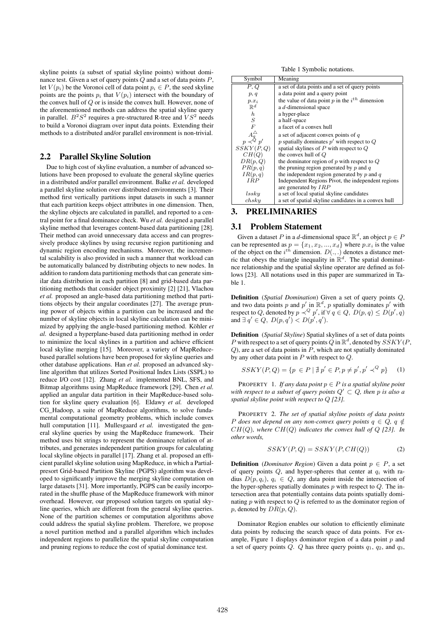skyline points (a subset of spatial skyline points) without dominance test. Given a set of query points  $Q$  and a set of data points  $P$ , let  $V(p_i)$  be the Voronoi cell of data point  $p_i \in P$ , the seed skyline points are the points  $p_i$  that  $V(p_i)$  intersect with the boundary of the convex hull of Q or is inside the convex hull. However, none of the aforementioned methods can address the spatial skyline query in parallel.  $B^2S^2$  requires a pre-structured R-tree and  $VS^2$  needs to build a Voronoi diagram over input data points. Extending their methods to a distributed and/or parallel environment is non-trivial.

## 2.2 Parallel Skyline Solution

Due to high cost of skyline evaluation, a number of advanced solutions have been proposed to evaluate the general skyline queries in a distributed and/or parallel environment. Balke *et al.* developed a parallel skyline solution over distributed environments [3]. Their method first vertically partitions input datasets in such a manner that each partition keeps object attributes in one dimension. Then, the skyline objects are calculated in parallel, and reported to a central point for a final dominance check. Wu *et al.* designed a parallel skyline method that leverages content-based data partitioning [28]. Their method can avoid unnecessary data access and can progressively produce skylines by using recursive region partitioning and dynamic region encoding mechanisms. Moreover, the incremental scalability is also provided in such a manner that workload can be automatically balanced by distributing objects to new nodes. In addition to random data partitioning methods that can generate similar data distribution in each partition [8] and grid-based data partitioning methods that consider object proximity [2] [21], Vlachou *et al.* proposed an angle-based data partitioning method that partitions objects by their angular coordinates [27]. The average pruning power of objects within a partition can be increased and the number of skyline objects in local skyline calculation can be minimized by applying the angle-based partitioning method. Köhler *et al.* designed a hyperplane-based data partitioning method in order to minimize the local skylines in a partition and achieve efficient local skyline merging [15]. Moreover, a variety of MapReducebased parallel solutions have been proposed for skyline queries and other database applications. Han *et al.* proposed an advanced skyline algorithm that utilizes Sorted Positional Index Lists (SSPL) to reduce I/O cost [12]. Zhang *et al.* implemented BNL, SFS, and Bitmap algorithms using MapReduce framework [29]. Chen *et al.* applied an angular data partition in their MapReduce-based solution for skyline query evaluation [6]. Eldawy *et al.* developed CG\_Hadoop, a suite of MapReduce algorithms, to solve fundamental computational geometry problems, which include convex hull computation [11]. Mullesgaard *et al.* investigated the general skyline queries by using the MapReduce framework. Their method uses bit strings to represent the dominance relation of attributes, and generates independent partition groups for calculating local skyline objects in parallel [17]. Zhang et al. proposed an efficient parallel skyline solution using MapReduce, in which a Partialpresort Grid-based Partition Skyline (PGPS) algorithm was developed to significantly improve the merging skyline computation on large datasets [31]. More importantly, PGPS can be easily incorporated in the shuffle phase of the MapReduce framework with minor overhead. However, our proposed solution targets on spatial skyline queries, which are different from the general skyline queries. None of the partition schemes or computation algorithms above could address the spatial skyline problem. Therefore, we propose a novel partition method and a parallel algorithm which includes independent regions to parallelize the spatial skyline computation and pruning regions to reduce the cost of spatial dominance test.

Table 1 Symbolic notations.

| Symbol                                  | Meaning                                              |
|-----------------------------------------|------------------------------------------------------|
| P. Q                                    | a set of data points and a set of query points       |
| p, q                                    | a data point and a query point                       |
| $p.x_i$                                 | the value of data point p in the $i^{th}$ dimension  |
| $\mathbb{R}^d$                          | a d-dimensional space                                |
| $h_{\cdot}$                             | a hyper-place                                        |
| S                                       | a half-space                                         |
| F                                       | a facet of a convex hull                             |
| $A_{q}^{\triangle}$<br>$p \prec^{Q} p'$ | a set of adjacent convex points of q                 |
|                                         | p spatially dominates $p'$ with respect to Q         |
| SSKY(P,Q)                               | spatial skylines of $P$ with respect to $Q$          |
| CH(O)                                   | the convex hull of $Q$                               |
| DR(p,Q)                                 | the dominator region of $p$ with respect to $Q$      |
| PR(p, q)                                | the pruning region generated by $p$ and $q$          |
| IR(p,q)                                 | the independent region generated by $p$ and $q$      |
| <b>IRP</b>                              | Independent Regions Pivot, the independent regions   |
|                                         | are generated by $IRP$                               |
| $_{lssky}$                              | a set of local spatial skyline candidates            |
| $\emph{ch}$ sky                         | a set of spatial skyline candidates in a convex hull |

# 3. PRELIMINARIES

## 3.1 Problem Statement

Given a dataset P in a *d*-dimensional space  $\mathbb{R}^d$ , an object  $p \in P$ can be represented as  $p = \{x_1, x_2, ..., x_d\}$  where  $p.x_i$  is the value of the object on the  $i^{th}$  dimension.  $D(.,.)$  denotes a distance metric that obeys the triangle inequality in  $\mathbb{R}^d$ . The spatial dominatnce relationship and the spatial skyline operator are defined as follows [23]. All notations used in this paper are summarized in Table 1.

Definition (*Spatial Domination*) Given a set of query points Q, and two data points p and p' in  $\mathbb{R}^d$ , p spatially dominates p' with respect to Q, denoted by  $p \prec^Q p'$ , if  $\forall q \in Q$ ,  $D(p,q) \le D(p',q)$ and  $\exists q' \in Q$ ,  $D(p,q') < D(p',q')$ .

Definition (*Spatial Skyline*) Spatial skylines of a set of data points P with respect to a set of query points Q in  $\mathbb{R}^d$ , denoted by  $SSKY(P,$  $Q$ ), are a set of data points in  $P$ , which are not spatially dominated by any other data point in  $P$  with respect to  $Q$ .

$$
SSKY(P,Q) = \{ p \in P \mid \nexists p' \in P, p \neq p', p' \prec^Q p \} \tag{1}
$$

PROPERTY 1. *If any data point* p ∈ P *is a spatial skyline point with respect to a subset of query points*  $Q' \subset Q$ *, then p is also a spatial skyline point with respect to* Q *[23].*

PROPERTY 2. *The set of spatial skyline points of data points* P does not depend on any non-convex query points  $q \in Q$ ,  $q \notin$ CH(Q)*, where* CH(Q) *indicates the convex hull of* Q *[23]. In other words,*

$$
SSKY(P,Q) = SSKY(P, CH(Q))
$$
 (2)

**Definition** (*Dominator Region*) Given a data point  $p \in P$ , a set of query points  $Q$ , and hyper-spheres that center at  $q_i$  with radius  $D(p, q_i), q_i \in Q$ , any data point inside the intersection of the hyper-spheres spatially dominates  $p$  with respect to  $Q$ . The intersection area that potentially contains data points spatially dominating  $p$  with respect to  $Q$  is referred to as the dominator region of p, denoted by  $DR(p, Q)$ .

Dominator Region enables our solution to efficiently eliminate data points by reducing the search space of data points. For example, Figure 1 displays dominator region of a data point  $p$  and a set of query points  $Q$ .  $Q$  has three query points  $q_1$ ,  $q_2$ , and  $q_3$ ,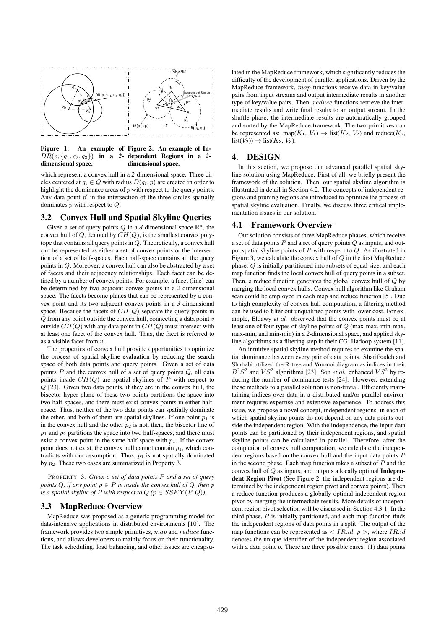

Figure 1: An example of Figure 2: An example of In- $DR(p, \{q_1, q_2, q_3\})$  in a 2- dependent Regions in a 2dimensional space. dimensional space.

which represent a convex hull in a 2-dimensional space. Three circles centered at  $q_i \in Q$  with radius  $D(q_i, p)$  are created in order to highlight the dominance areas of  $p$  with respect to the query points. Any data point  $p'$  in the intersection of the three circles spatially dominates  $p$  with respect to  $Q$ .

## 3.2 Convex Hull and Spatial Skyline Queries

Given a set of query points  $Q$  in a *d*-dimensional space  $\mathbb{R}^d$ , the convex hull of Q, denoted by  $CH(Q)$ , is the smallest convex polytope that contains all query points in Q. Theoretically, a convex hull can be represented as either a set of convex points or the intersection of a set of half-spaces. Each half-space contains all the query points in Q. Moreover, a convex hull can also be abstracted by a set of facets and their adjacency relationships. Each facet can be defined by a number of convex points. For example, a facet (line) can be determined by two adjacent convex points in a *2*-dimensional space. The facets become planes that can be represented by a convex point and its two adjacent convex points in a *3*-dimensional space. Because the facets of  $CH(Q)$  separate the query points in  $Q$  from any point outside the convex hull, connecting a data point  $v$ outside  $CH(Q)$  with any data point in  $CH(Q)$  must intersect with at least one facet of the convex hull. Thus, the facet is referred to as a visible facet from  $v$ .

The properties of convex hull provide opportunities to optimize the process of spatial skyline evaluation by reducing the search space of both data points and query points. Given a set of data points  $P$  and the convex hull of a set of query points  $Q$ , all data points inside  $CH(Q)$  are spatial skylines of P with respect to Q [23]. Given two data points, if they are in the convex hull, the bisector hyper-plane of these two points partitions the space into two half-spaces, and there must exist convex points in either halfspace. Thus, neither of the two data points can spatially dominate the other, and both of them are spatial skylines. If one point  $p_1$  is in the convex hull and the other  $p_2$  is not, then, the bisector line of  $p_1$  and  $p_2$  partitions the space into two half-spaces, and there must exist a convex point in the same half-space with  $p_1$ . If the convex point does not exist, the convex hull cannot contain  $p_1$ , which contradicts with our assumption. Thus,  $p_1$  is not spatially dominated by  $p_2$ . These two cases are summarized in Property 3.

PROPERTY 3. *Given a set of data points* P *and a set of query points*  $Q$ *, if any point*  $p \in P$  *is inside the convex hull of*  $Q$ *, then*  $p$ *is a spatial skyline of*  $P$  *with respect to*  $Q$  ( $p \in SSKY(P,Q)$ ).

# 3.3 MapReduce Overview

MapReduce was proposed as a generic programming model for data-intensive applications in distributed environments [10]. The framework provides two simple primitives, map and reduce functions, and allows developers to mainly focus on their functionality. The task scheduling, load balancing, and other issues are encapsulated in the MapReduce framework, which significantly reduces the difficulty of the development of parallel applications. Driven by the MapReduce framework, map functions receive data in key/value pairs from input streams and output intermediate results in another type of key/value pairs. Then, reduce functions retrieve the intermediate results and write final results to an output stream. In the shuffle phase, the intermediate results are automatically grouped and sorted by the MapReduce framework, The two primitives can be represented as: map( $K_1$ ,  $V_1$ )  $\rightarrow$  list( $K_2$ ,  $V_2$ ) and reduce( $K_2$ ,  $list(V_2)) \rightarrow list(K_3, V_3).$ 

## 4. DESIGN

In this section, we propose our advanced parallel spatial skyline solution using MapReduce. First of all, we briefly present the framework of the solution. Then, our spatial skyline algorithm is illustrated in detail in Section 4.2. The concepts of independent regions and pruning regions are introduced to optimize the process of spatial skyline evaluation. Finally, we discuss three critical implementation issues in our solution.

# 4.1 Framework Overview

Our solution consists of three MapReduce phases, which receive a set of data points  $P$  and a set of query points  $Q$  as inputs, and output spatial skyline points of  $P$  with respect to  $Q$ . As illustrated in Figure 3, we calculate the convex hull of  $Q$  in the first MapReduce phase. Q is initially partitioned into subsets of equal size, and each map function finds the local convex hull of query points in a subset. Then, a reduce function generates the global convex hull of Q by merging the local convex hulls. Convex hull algorithm like Graham scan could be employed in each map and reduce function [5]. Due to high complexity of convex hull computation, a filtering method can be used to filter out unqualified points with lower cost. For example, Eldawy *et al.* observed that the convex points must be at least one of four types of skyline points of Q (max-max, min-max, max-min, and min-min) in a *2*-dimensional space, and applied skyline algorithms as a filtering step in their CG\_Hadoop system [11].

An intuitive spatial skyline method requires to examine the spatial dominance between every pair of data points. Sharifzadeh and Shahabi utilized the R-tree and Voronoi diagram as indices in their  $B^2S^2$  and  $VS^2$  algorithms [23]. Son *et al.* enhanced  $VS^2$  by reducing the number of dominance tests [24]. However, extending these methods to a parallel solution is non-trivial. Efficiently maintaining indices over data in a distributed and/or parallel environment requires expertise and extensive experience. To address this issue, we propose a novel concept, independent regions, in each of which spatial skyline points do not depend on any data points outside the independent region. With the independence, the input data points can be partitioned by their independent regions, and spatial skyline points can be calculated in parallel. Therefore, after the completion of convex hull computation, we calculate the independent regions based on the convex hull and the input data points P in the second phase. Each map function takes a subset of  $P$  and the convex hull of Q as inputs, and outputs a locally optimal Independent Region Pivot (See Figure 2, the independent regions are determined by the independent region pivot and convex points). Then a reduce function produces a globally optimal independent region pivot by merging the intermediate results. More details of independent region pivot selection will be discussed in Section 4.3.1. In the third phase,  $P$  is initially partitioned, and each map function finds the independent regions of data points in a split. The output of the map functions can be represented as  $\langle IR.id, p \rangle$ , where  $IR.id$ denotes the unique identifier of the independent region associated with a data point  $p$ . There are three possible cases: (1) data points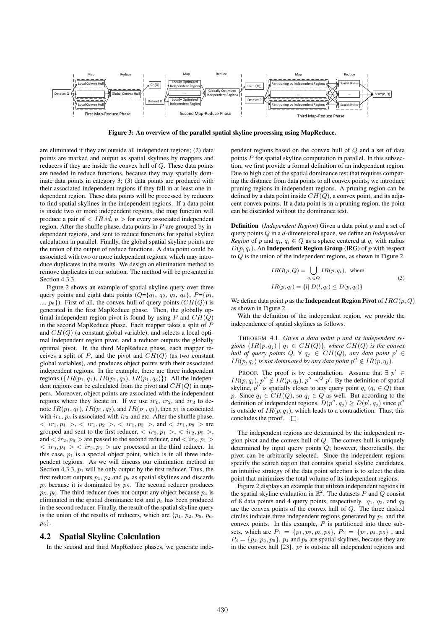

Figure 3: An overview of the parallel spatial skyline processing using MapReduce.

are eliminated if they are outside all independent regions; (2) data points are marked and output as spatial skylines by mappers and reducers if they are inside the convex hull of Q. These data points are needed in reduce functions, because they may spatially dominate data points in category 3; (3) data points are produced with their associated independent regions if they fall in at least one independent region. These data points will be processed by reducers to find spatial skylines in the independent regions. If a data point is inside two or more independent regions, the map function will produce a pair of  $\langle IR.id, p \rangle$  for every associated independent region. After the shuffle phase, data points in  $P$  are grouped by independent regions, and sent to reduce functions for spatial skyline calculation in parallel. Finally, the global spatial skyline points are the union of the output of reduce functions. A data point could be associated with two or more independent regions, which may introduce duplicates in the results. We design an elimination method to remove duplicates in our solution. The method will be presented in Section 4.3.3.

Figure 2 shows an example of spatial skyline query over three query points and eight data points  $(Q = \{q_1, q_2, q_3, q_4\}, P = \{p_1, q_2, q_4\})$ ...,  $p_8$ }). First of all, the convex hull of query points  $(CH(Q))$  is generated in the first MapReduce phase. Then, the globally optimal independent region pivot is found by using  $P$  and  $CH(Q)$ in the second MapReduce phase. Each mapper takes a split of  $P$ and  $CH(Q)$  (a constant global variable), and selects a local optimal independent region pivot, and a reducer outputs the globally optimal pivot. In the third MapReduce phase, each mapper receives a split of  $P$ , and the pivot and  $CH(Q)$  (as two constant global variables), and produces object points with their associated independent regions. In the example, there are three independent regions ( $\{IR(p_1, q_1), IR(p_1, q_2), IR(p_1, q_3)\}\$ ). All the independent regions can be calculated from the pivot and  $CH(Q)$  in mappers. Moreover, object points are associated with the independent regions where they locate in. If we use  $ir_1$ ,  $ir_2$ , and  $ir_3$  to denote  $IR(p_1, q_1)$ ,  $IR(p_1, q_2)$ , and  $IR(p_1, q_3)$ , then  $p_1$  is associated with  $ir_1$ ,  $p_5$  is associated with  $ir_2$  and etc. After the shuffle phase,  $\langle ir_1, p_1 \rangle, \langle ir_1, p_2 \rangle, \langle ir_1, p_3 \rangle, \text{ and } \langle ir_1, p_8 \rangle \text{ are }$ grouped and sent to the first reducer,  $\langle ir_2, p_1 \rangle, \langle ir_2, p_5 \rangle,$ and  $\langle ir_2, p_6 \rangle$  are passed to the second reducer, and  $\langle ir_3, p_1 \rangle$  $\langle ir_3, p_4 \rangle \langle ir_3, p_5 \rangle$  are processed in the third reducer. In this case,  $p_1$  is a special object point, which is in all three independent regions. As we will discuss our elimination method in Section 4.3.3,  $p_1$  will be only output by the first reducer. Thus, the first reducer outputs  $p_1$ ,  $p_2$  and  $p_8$  as spatial skylines and discards  $p_3$  because it is dominated by  $p_8$ . The second reducer produces  $p_5$ ,  $p_6$ . The third reducer does not output any object because  $p_4$  is eliminated in the spatial dominance test and  $p<sub>5</sub>$  has been produced in the second reducer. Finally, the result of the spatial skyline query is the union of the results of reducers, which are  $\{p_1, p_2, p_5, p_6,$ p8}.

#### 4.2 Spatial Skyline Calculation

In the second and third MapReduce phases, we generate inde-

pendent regions based on the convex hull of Q and a set of data points  $P$  for spatial skyline computation in parallel. In this subsection, we first provide a formal definition of an independent region. Due to high cost of the spatial dominance test that requires comparing the distance from data points to all convex points, we introduce pruning regions in independent regions. A pruning region can be defined by a data point inside  $CH(Q)$ , a convex point, and its adjacent convex points. If a data point is in a pruning region, the point can be discarded without the dominance test.

**Definition** (*Independent Region*) Given a data point p and a set of query points Q in a *d*-dimensional space, we define an *Independent Region* of p and  $q_i, q_i \in Q$  as a sphere centered at  $q_i$  with radius  $D(p, q_i)$ . An **Independent Region Group** (IRG) of p with respect to Q is the union of the independent regions, as shown in Figure 2.

$$
IRG(p, Q) = \bigcup_{q_i \in Q} IR(p, q_i), \text{ where}
$$
  
\n
$$
IR(p, q_i) = \{l | D(l, q_i) \le D(p, q_i) \}
$$
\n(3)

We define data point p as the **Independent Region Pivot** of  $IRG(p, Q)$ as shown in Figure 2.

With the definition of the independent region, we provide the independence of spatial skylines as follows.

THEOREM 4.1. *Given a data point* p *and its independent re*gions  $\{IR(p, q_j) \mid q_j \in CH(Q)\}$ , where  $CH(Q)$  *is the convex hull of query points*  $Q$ ,  $\forall$   $q_j \in CH(Q)$ , any data point  $p' \in$  $IR(p, q_j)$  *is not dominated by any data point*  $p'' \notin IR(p, q_j)$ *.* 

PROOF. The proof is by contradiction. Assume that  $\exists p' \in$  $IR(p, q_j), p'' \notin IR(p, q_j), p'' \prec^Q p'.$  By the definition of spatial skyline,  $p''$  is spatially closer to any query point  $q_i$  ( $q_i \in Q$ ) than p. Since  $q_j \in CH(Q)$ , so  $q_j \in Q$  as well. But according to the definition of independent regions,  $D(p'', q_j) \ge D(p', q_j)$  since  $p''$ is outside of  $IR(p, q<sub>j</sub>)$ , which leads to a contradiction. Thus, this concludes the proof.  $\square$ 

The independent regions are determined by the independent region pivot and the convex hull of  $Q$ . The convex hull is uniquely determined by input query points  $Q$ ; however, theoretically, the pivot can be arbitrarily selected. Since the independent regions specify the search region that contains spatial skyline candidates, an intuitive strategy of the data point selection is to select the data point that minimizes the total volume of its independent regions.

Figure 2 displays an example that utilizes independent regions in the spatial skyline evaluation in  $\mathbb{R}^2$ . The datasets P and Q consist of 8 data points and 4 query points, respectively.  $q_1$ ,  $q_2$ , and  $q_3$ are the convex points of the convex hull of Q. The three dashed circles indicate three independent regions generated by  $p_1$  and the convex points. In this example,  $P$  is partitioned into three subsets, which are  $P_1 = \{p_1, p_2, p_3, p_8\}, P_2 = \{p_1, p_4, p_5\}$ , and  $P_3 = \{p_1, p_5, p_6\}$ .  $p_1$  and  $p_8$  are spatial skylines, because they are in the convex hull [23].  $p_7$  is outside all independent regions and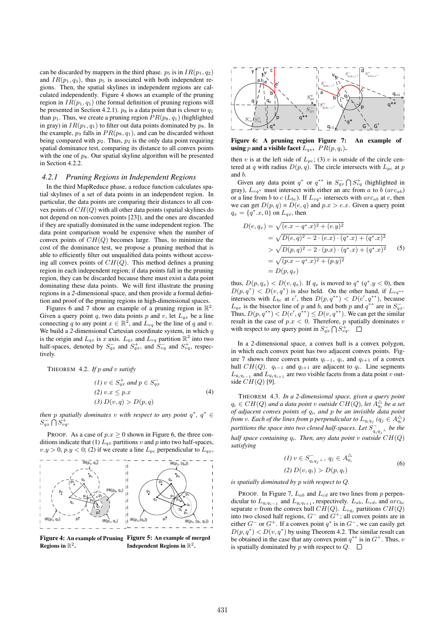can be discarded by mappers in the third phase.  $p_5$  is in  $IR(p_1, q_2)$ and  $IR(p_1, q_3)$ , thus  $p_5$  is associated with both independent regions. Then, the spatial skylines in independent regions are calculated independently. Figure 4 shows an example of the pruning region in  $IR(p_1, q_1)$  (the formal definition of pruning regions will be presented in Section 4.2.1).  $p_8$  is a data point that is closer to  $q_1$ than  $p_1$ . Thus, we create a pruning region  $PR(p_8, q_1)$  (highlighted in gray) in  $IR(p_1, q_1)$  to filter out data points dominated by  $p_8$ . In the example,  $p_3$  falls in  $PR(p_8, q_1)$ , and can be discarded without being compared with  $p_2$ . Thus,  $p_2$  is the only data point requiring spatial dominance test, comparing its distance to all convex points with the one of  $p_8$ . Our spatial skyline algorithm will be presented in Section 4.2.2.

#### *4.2.1 Pruning Regions in Independent Regions*

In the third MapReduce phase, a reduce function calculates spatial skylines of a set of data points in an independent region. In particular, the data points are comparing their distances to all convex points of  $CH(Q)$  with all other data points (spatial skylines do not depend on non-convex points [23]), and the ones are discarded if they are spatially dominated in the same independent region. The data point comparison would be expensive when the number of convex points of  $CH(Q)$  becomes large. Thus, to minimize the cost of the dominance test, we propose a pruning method that is able to efficiently filter out unqualified data points without accessing all convex points of  $CH(Q)$ . This method defines a pruning region in each independent region; if data points fall in the pruning region, they can be discarded because there must exist a data point dominating these data points. We will first illustrate the pruning regions in a *2*-dimensional space, and then provide a formal definition and proof of the pruning regions in high-dimensional spaces.

Figures 6 and 7 show an example of a pruning region in  $\mathbb{R}^2$ . Given a query point q, two data points p and v, let  $L_{qx}$  be a line connecting q to any point  $x \in \mathbb{R}^2$ , and  $L_{vq}$  be the line of q and v. We build a 2-dimensional Cartesian coordinate system, in which q is the origin and  $L_{qx}$  is x axis.  $L_{qx}$  and  $L_{vq}$  partition  $\mathbb{R}^2$  into two half-spaces, denoted by  $S_{qx}^-$  and  $S_{qx}^+$ , and  $S_{vq}^-$  and  $S_{vq}^+$ , respectively.

THEOREM 4.2. *If* p *and* v *satisfy*

$$
(1) v \in S_{qx}^+ \text{ and } p \in S_{qx}^-
$$
  
\n
$$
(2) v.x \le p.x
$$
  
\n
$$
(3) D(v,q) > D(p,q)
$$
  
\n(4)

*then* p *spatially dominates* v *with respect to any point*  $q^*$ ,  $q^* \in$  $S_{qx}^- \bigcap S_{vq}^+$ .

PROOF. As a case of  $p.x \ge 0$  shown in Figure 6, the three conditions indicate that (1)  $L_{qx}$  partitions v and p into two half-spaces,  $v.y > 0$ ,  $p.y < 0$ ; (2) if we create a line  $L_{pc}$  perpendicular to  $L_{qx}$ ,



Figure 4: An example of Pruning Figure 5: An example of merged Regions in  $\mathbb{R}^2.$ Independent Regions in  $\mathbb{R}^2$ .



Figure 6: A pruning region Figure 7: using p and a visible facet  $L_{qx}$ .  $PR(p, q_i)$ . An example of

then v is at the left side of  $L_{pc}$ ; (3) v is outside of the circle centered at q with radius  $D(p, q)$ . The circle intersects with  $L_{pc}$  at p and b.

Given any data point  $q^*$  or  $q^{**}$  in  $S_{qx}^- \bigcap S_{yq}^+$  (highlighted in gray),  $L_{vq*}$  must intersect with either an arc from a to b (arc<sub>ab</sub>) or a line from b to  $c$  ( $L_{bc}$ ). If  $L_{vq*}$  intersects with  $arc_{ab}$  at e, then we can get  $D(p, q) = D(e, q)$  and  $p.x > e.x$ . Given a query point  $q_x = \{q^*, x, 0\}$  on  $L_{qx}$ , then

$$
D(e, q_x) = \sqrt{(e.x - q^*.x)^2 + (e.y)^2}
$$
  
=  $\sqrt{D(e, q)^2 - 2 \cdot (e.x) \cdot (q^*.x) + (q^*.x)^2}$   
>  $\sqrt{D(p, q)^2 - 2 \cdot (p.x) \cdot (q^*.x) + (q^*.x)^2}$   
=  $\sqrt{(p.x - q^*.x)^2 + (p.y)^2}$   
=  $D(p, q_x)$  (5)

thus,  $D(p, q_x) < D(v, q_x)$ . If  $q_x$  is moved to  $q^* (q^*, y < 0)$ , then  $D(p,q^*)$  <  $D(v,q^*)$  is also held. On the other hand, if  $L_{vq^{**}}$ intersects with  $L_{bc}$  at e', then  $D(p, q^{**}) < D(e', q^{**})$ , because  $L_{qx}$  is the bisector line of p and b, and both p and  $q^{**}$  are in  $S_{qx}^-$ . Thus,  $D(p, q^{**}) < D(e', q^{**}) \le D(v, q^{**})$ . We can get the similar result in the case of  $p.x < 0$ . Therefore, p spatially dominates v with respect to any query point in  $S_{qx}^- \bigcap S_{vq}^+$ .

In a *2*-dimensional space, a convex hull is a convex polygon, in which each convex point has two adjacent convex points. Figure 7 shows three convex points  $q_{i-1}$ ,  $q_i$ , and  $q_{i+1}$  of a convex hull  $CH(Q)$ .  $q_{i-1}$  and  $q_{i+1}$  are adjacent to  $q_i$ . Line segments  $L_{q_iq_{i-1}}$  and  $L_{q_iq_{i+1}}$  are two visible facets from a data point v outside  $CH(Q)$  [9].

THEOREM 4.3. *In a 2-dimensional space, given a query point*  $q_i \in CH(Q)$  and a data point v outside  $CH(Q)$ , let  $A_{q_i}^{\triangle}$  be a set *of adjacent convex points of* qi*, and* p *be an invisible data point from* v. Each of the lines from p perpendicular to  $L_{q_i q_j}$  ( $q_j \in A_{q_i}^{\triangle}$ ) partitions the space into two closed half-spaces. Let  $S_{q_i q_j \perp}^-$  be the *half space containing* qi*. Then, any data point* v *outside* CH(Q) *satisfying*

(1) 
$$
v \in S_{q_i q_j^{\perp}}^-, q_j \in A_{q_i}^{\triangle}
$$
  
(2)  $D(v, q_i) > D(p, q_i)$  (6)

*is spatially dominated by* p *with respect to* Q*.*

PROOF. In Figure 7,  $L_{ab}$  and  $L_{cd}$  are two lines from p perpendicular to  $L_{q_i q_{i-1}}$  and  $L_{q_i q_{i+1}}$ , respectively.  $L_{ab}$ ,  $L_{cd}$ , and  $arc_{bc}$ separate v from the convex hull  $CH(Q)$ .  $L_{vq_i}$  partitions  $CH(Q)$ into two closed half regions,  $G^-$  and  $G^+$ ; all convex points are in either  $G^-$  or  $G^+$ . If a convex point  $q^*$  is in  $G^-$ , we can easily get  $D(p, q^*)$  <  $D(v, q^*)$  by using Theorem 4.2. The similar result can be obtained in the case that any convex point  $q^{**}$  is in  $G^+$ . Thus, v is spatially dominated by p with respect to  $Q$ .  $\Box$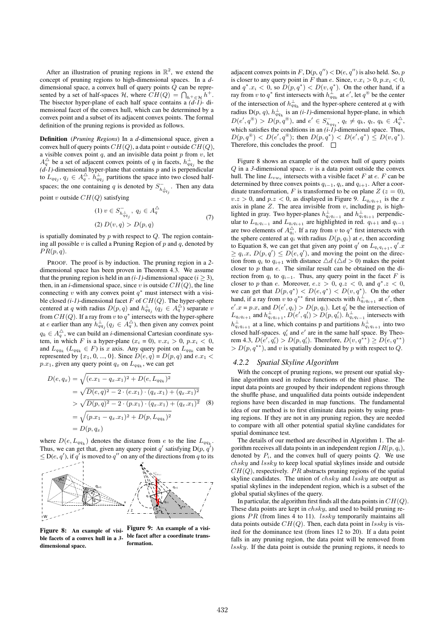After an illustration of pruning regions in  $\mathbb{R}^2$ , we extend the concept of pruning regions to high-dimensional spaces. In a *d*dimensional space, a convex hull of query points Q can be represented by a set of half-spaces  $H$ , where  $CH(Q) = \bigcap_{h^+ \in \mathcal{H}} h^+$ . The bisector hyper-plane of each half space contains a *(d-1)-* dimensional facet of the convex hull, which can be determined by a convex point and a subset of its adjacent convex points. The formal definition of the pruning regions is provided as follows.

Definition (*Pruning Regions*) In a *d*-dimensional space, given a convex hull of query points  $CH(Q)$ , a data point v outside  $CH(Q)$ , a visible convex point  $q$ , and an invisible data point  $p$  from  $v$ , let  $A_q^{\triangle}$  be a set of adjacent convex points of q in facets,  $h_{qq_j}^{\perp}$  be the  $(d-1)$ -dimensional hyper-plane that contains  $p$  and is perpendicular to  $L_{qq_j}$ ,  $q_j \in A_q^{\triangle}$ .  $h_{qq_j}^{\perp}$  partitions the space into two closed halfspaces; the one containing q is denoted by  $S_{h_{qqj}^{-1}}^{-1}$ . Then any data

point v outside  $CH(Q)$  satisfying

$$
(1) \ v \in S_{h_{qq_j}}^-, \ q_j \in A_q^{\triangle}
$$

$$
(2) \ D(v,q) > D(p,q)
$$

$$
(7)
$$

is spatially dominated by  $p$  with respect to  $Q$ . The region containing all possible  $v$  is called a Pruning Region of  $p$  and  $q$ , denoted by  $PR(p, q)$ .

PROOF. The proof is by induction. The pruning region in a *2* dimensional space has been proven in Theorem 4.3. We assume that the pruning region is held in an  $(i-1)$ -dimensional space  $(i \geq 3)$ , then, in an *i*-dimensional space, since v is outside  $CH(Q)$ , the line connecting v with any convex point  $q^*$  must intersect with a visible closed  $(i-1)$ -dimensional facet F of  $CH(Q)$ . The hyper-sphere centered at q with radius  $D(p,q)$  and  $h_{qq_j}^{\perp}(q_j \in A_q^{\triangle})$  separate v from  $CH(Q)$ . If a ray from v to  $q^*$  intersects with the hyper-sphere at e earlier than any  $h_{qq_j}^{\perp}(q_j \in A_q^{\triangle})$ , then given any convex point  $q_k \in A_q^{\triangle}$ , we can build an *i*-dimensional Cartesian coordinate system, in which F is a hyper-plane  $(x_i = 0)$ ,  $v.x_i > 0$ ,  $p.x_i < 0$ , and  $L_{qq_k}$  ( $L_{qq_k} \in F$ ) is x axis. Any query point on  $L_{qq_k}$  can be represented by  $\{x_1, 0, ..., 0\}$ . Since  $D(e, q) = D(p, q)$  and  $e.x_1 <$  $p.x_1$ , given any query point  $q_x$  on  $L_{qq_k}$ , we can get

$$
D(e, q_x) = \sqrt{(e.x_1 - q_x.x_1)^2 + D(e, L_{qq_k})^2}
$$
  
=  $\sqrt{D(e, q)^2 - 2 \cdot (e.x_1) \cdot (q_x.x_1) + (q_x.x_1)^2}$   
>  $\sqrt{D(p, q)^2 - 2 \cdot (p.x_1) \cdot (q_x.x_1) + (q_x.x_1)^2}$  (8)  
=  $\sqrt{(p.x_1 - q_x.x_1)^2 + D(p, L_{qq_k})^2}$   
=  $D(p, q_x)$ 

where  $D(e, L_{qq_k})$  denotes the distance from e to the line  $L_{qq_k}$ . Thus, we can get that, given any query point q' satisfying  $D(p, q')$  $\leq$  D(e, q'), if q' is moved to q'' on any of the directions from q to its



Figure 8: An example of visible facets of a convex hull in a *3* dimensional space.

Figure 9: An example of a visible facet after a coordinate transformation.

adjacent convex points in F, D(p, q'') < D(e, q'') is also held. So, p is closer to any query point in F than e. Since,  $v.x_i > 0$ ,  $p.x_i < 0$ , and  $q^* . x_i < 0$ , so  $D(p, q^*) < D(v, q^*)$ . On the other hand, if a ray from v to  $q^*$  first intersects with  $h_{qq_k}^{\perp}$  at  $e'$ , let  $q^{\circledast}$  be the center of the intersection of  $h_{qqk}^{\perp}$  and the hyper-sphere centered at q with radius  $D(p, q)$ ,  $h_{qq_k}^{\perp}$  is an *(i-1)*-dimensional hyper-plane, in which  $D(e', q^* ) > D(p, q^* )$ , and  $e' \in S_{h_{qq_t}}^-$ ,  $q_t \neq q_k$ ,  $q_t$ ,  $q_k \in A_q^{\triangle}$ , which satisfies the conditions in an *(i-1)*-dimensional space. Thus,  $D(p,q^*)$  <  $D(e',q^*)$ ; then  $D(p,q^*)$  <  $D(e',q^*) \le D(v,q^*)$ . Therefore, this concludes the proof.  $\square$ 

Figure 8 shows an example of the convex hull of query points  $Q$  in a 3-dimensional space.  $v$  is a data point outside the convex hull. The line  $L_{vw_e}$  intersects with a visible facet F at e. F can be determined by three convex points  $q_{i-1}$ ,  $q_i$ , and  $q_{i+1}$ . After a coordinate transformation, F is transformed to be on plane  $Z(z = 0)$ ,  $v.z > 0$ , and  $p.z < 0$ , as displayed in Figure 9.  $L_{q_i q_{i+1}}$  is the x axis in plane  $Z$ . The area invisible from  $v$ , including  $p$ , is highlighted in gray. Two hyper-planes  $h_{q_iq_{i-1}}^{\perp}$  and  $h_{q_iq_{i+1}}^{\perp}$  perpendicular to  $L_{q_i q_{i-1}}$  and  $L_{q_i q_{i+1}}$  are highlighted in red.  $q_{i+1}$  and  $q_{i-1}$ are two elements of  $A_{q_i}^{\triangle}$ . If a ray from v to  $q^*$  first intersects with the sphere centered at  $q_i$  with radius  $D(p, q_i)$  at e, then according to Equation 8, we can get that given any point  $q'$  on  $L_{q_i q_{i+1}}$ ,  $q'$ .  $\geq q_i.x, D(p,q') \leq D(e,q')$ , and moving the point on the direction from  $q_i$  to  $q_{i+1}$  with distance  $\triangle d$  ( $\triangle d > 0$ ) makes the point closer to  $p$  than  $e$ . The similar result can be obtained on the direction from  $q_i$  to  $q_{i-1}$ . Thus, any query point in the facet F is closer to p than e. Moreover,  $e.z > 0$ ,  $q.z < 0$ , and  $q^*.z < 0$ , we can get that  $D(p, q^*)$  <  $D(e, q^*)$  <  $D(v, q^*)$ . On the other hand, if a ray from v to  $q^{**}$  first intersects with  $h_{q_iq_{i+1}}^{\perp}$  at  $e'$ , then  $e'$ . $x = p.x$ , and  $D(e', q_i) > D(p, q_i)$ . Let  $q'_i$  be the intersection of  $L_{q_i q_{i+1}}$  and  $h_{q_i q_{i+1}}^{\perp}$ ,  $D(e', q_i') > D(p, q_i')$ .  $h_{q_i q_{i-1}}^{\perp}$  intersects with  $h_{q_iq_{i+1}}^{\perp}$  at a line, which contains p and partitions  $h_{q_iq_{i+1}}^{\perp}$  into two closed half-spaces.  $q'_i$  and  $e'$  are in the same half space. By Theorem 4.3,  $D(e', q'_i) > D(p, q'_i)$ . Therefore,  $D(v, q^{**}) \ge D(e, q^{**})$  $> D(p, q^{**})$ , and v is spatially dominated by p with respect to Q.

#### *4.2.2 Spatial Skyline Algorithm*

With the concept of pruning regions, we present our spatial skyline algorithm used in reduce functions of the third phase. The input data points are grouped by their independent regions through the shuffle phase, and unqualified data points outside independent regions have been discarded in map functions. The fundamental idea of our method is to first eliminate data points by using pruning regions. If they are not in any pruning region, they are needed to compare with all other potential spatial skyline candidates for spatial dominance test.

The details of our method are described in Algorithm 1. The algorithm receives all data points in an independent region  $IR(p, q_i)$ , denoted by  $P_i$ , and the convex hull of query points  $Q$ . We use  $chsky$  and  $lssky$  to keep local spatial skylines inside and outside  $CH(Q)$ , respectively. PR abstracts pruning regions of the spatial skyline candidates. The union of  $chsky$  and  $lssky$  are output as spatial skylines in the independent region, which is a subset of the global spatial skylines of the query.

In particular, the algorithm first finds all the data points in  $CH(Q)$ . These data points are kept in *chsky*, and used to build pruning regions  $PR$  (from lines 4 to 11). *lssky* temporarily maintains all data points outside  $CH(Q)$ . Then, each data point in lssky is visited for the dominance test (from lines 12 to 20). If a data point falls in any pruning region, the data point will be removed from lssky. If the data point is outside the pruning regions, it needs to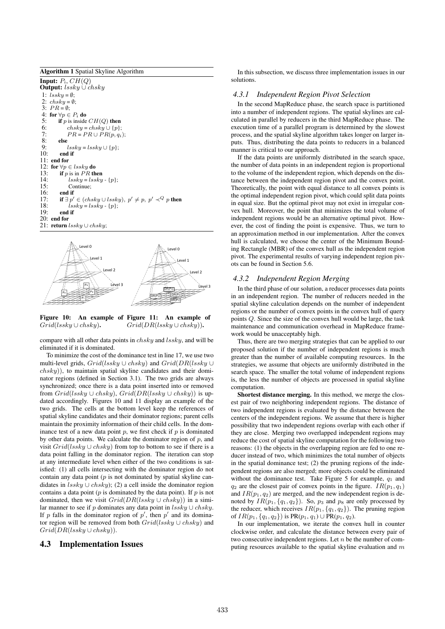| <b>Algorithm 1</b> Spatial Skyline Algorithm                                         |  |  |  |  |  |
|--------------------------------------------------------------------------------------|--|--|--|--|--|
| <b>Input:</b> $P_i$ , $CH(Q)$<br><b>Output:</b> $\textit{lssky} \cup \textit{chsky}$ |  |  |  |  |  |
| 1: $lssky = \emptyset$ ;                                                             |  |  |  |  |  |
| 2: $chsky = \emptyset$ :                                                             |  |  |  |  |  |
| 3: $PR = \emptyset$ :                                                                |  |  |  |  |  |
| 4: for $\forall p \in P_i$ do                                                        |  |  |  |  |  |
| 5:<br><b>if</b> p is inside $CH(Q)$ then                                             |  |  |  |  |  |
| 6:<br>$chsky = chsky \cup \{p\};$                                                    |  |  |  |  |  |
| 7:<br>$PR = PR \cup PR(p, q_i);$                                                     |  |  |  |  |  |
| 8:<br>else                                                                           |  |  |  |  |  |
| 9:<br>$lssky = lssky \cup \{p\};$                                                    |  |  |  |  |  |
| 10:<br>end if                                                                        |  |  |  |  |  |
| $11:$ end for                                                                        |  |  |  |  |  |
| 12: for $\forall p \in \text{lssky}$ do                                              |  |  |  |  |  |
| 13:<br><b>if</b> p is in PR then                                                     |  |  |  |  |  |
| 14:<br>$lssky = lssky - {p};$                                                        |  |  |  |  |  |
| 15:<br>Continue:                                                                     |  |  |  |  |  |
| 16:<br>end if                                                                        |  |  |  |  |  |
| if $\exists p' \in (chsky \cup lssky), p' \neq p, p' \prec^Q p$ then<br>17:          |  |  |  |  |  |
| 18:<br>$lssky = lssky - {p}$ :                                                       |  |  |  |  |  |
| 19:<br>end if                                                                        |  |  |  |  |  |
| $20:$ end for                                                                        |  |  |  |  |  |
| 21: <b>return</b> <i>lssky</i> $\cup$ <i>chsky</i> ;                                 |  |  |  |  |  |
|                                                                                      |  |  |  |  |  |



Figure 10: An example of Figure 11: An example of  $Grid(lssky\cup chsky).$  $Grid(DR(lssky \cup chsky)).$ 

compare with all other data points in  $chsku$  and  $lssku$ , and will be eliminated if it is dominated.

To minimize the cost of the dominance test in line 17, we use two multi-level grids,  $Grid(lssky \cup chsky)$  and  $Grid(DR(lssky \cup$  $chsky$ ), to maintain spatial skyline candidates and their dominator regions (defined in Section 3.1). The two grids are always synchronized; once there is a data point inserted into or removed from  $Grid(lssky \cup chsky), Grid(DR(lssky \cup chsky))$  is updated accordingly. Figures 10 and 11 display an example of the two grids. The cells at the bottom level keep the references of spatial skyline candidates and their dominator regions; parent cells maintain the proximity information of their child cells. In the dominance test of a new data point  $p$ , we first check if  $p$  is dominated by other data points. We calculate the dominator region of  $p$ , and visit  $Grid(lssku \cup chsku)$  from top to bottom to see if there is a data point falling in the dominator region. The iteration can stop at any intermediate level when either of the two conditions is satisfied: (1) all cells intersecting with the dominator region do not contain any data point  $(p$  is not dominated by spatial skyline candidates in  $\ell$ ssky ∪ chsky); (2) a cell inside the dominator region contains a data point ( $p$  is dominated by the data point). If  $p$  is not dominated, then we visit  $Grid(DR(lssky \cup chsky))$  in a similar manner to see if p dominates any data point in  $\ell$ sky ∪ chsky. If p falls in the dominator region of  $p'$ , then  $p'$  and its dominator region will be removed from both  $Grid(lssky \cup chsky)$  and  $Grid(DR(lssky\cup chsky)).$ 

## 4.3 Implementation Issues

In this subsection, we discuss three implementation issues in our solutions.

#### *4.3.1 Independent Region Pivot Selection*

In the second MapReduce phase, the search space is partitioned into a number of independent regions. The spatial skylines are calculated in parallel by reducers in the third MapReduce phase. The execution time of a parallel program is determined by the slowest process, and the spatial skyline algorithm takes longer on larger inputs. Thus, distributing the data points to reducers in a balanced manner is critical to our approach.

If the data points are uniformly distributed in the search space, the number of data points in an independent region is proportional to the volume of the independent region, which depends on the distance between the independent region pivot and the convex point. Theoretically, the point with equal distance to all convex points is the optimal independent region pivot, which could split data points in equal size. But the optimal pivot may not exist in irregular convex hull. Moreover, the point that minimizes the total volume of independent regions would be an alternative optimal pivot. However, the cost of finding the point is expensive. Thus, we turn to an approximation method in our implementation. After the convex hull is calculated, we choose the center of the Minimum Bounding Rectangle (MBR) of the convex hull as the independent region pivot. The experimental results of varying independent region pivots can be found in Section 5.6.

#### *4.3.2 Independent Region Merging*

In the third phase of our solution, a reducer processes data points in an independent region. The number of reducers needed in the spatial skyline calculation depends on the number of independent regions or the number of convex points in the convex hull of query points Q. Since the size of the convex hull would be large, the task maintenance and communication overhead in MapReduce framework would be unacceptably high.

Thus, there are two merging strategies that can be applied to our proposed solution if the number of independent regions is much greater than the number of available computing resources. In the strategies, we assume that objects are uniformly distributed in the search space. The smaller the total volume of independent regions is, the less the number of objects are processed in spatial skyline computation.

Shortest distance merging. In this method, we merge the closest pair of two neighboring independent regions. The distance of two independent regions is evaluated by the distance between the centers of the independent regions. We assume that there is higher possibility that two independent regions overlap with each other if they are close. Merging two overlapped independent regions may reduce the cost of spatial skyline computation for the following two reasons: (1) the objects in the overlapping region are fed to one reducer instead of two, which minimizes the total number of objects in the spatial dominance test; (2) the pruning regions of the independent regions are also merged; more objects could be eliminated without the dominance test. Take Figure 5 for example,  $q_1$  and  $q_2$  are the closest pair of convex points in the figure.  $IR(p_1, q_1)$ and  $IR(p_1, q_2)$  are merged, and the new independent region is denoted by  $IR(p_1, \{q_1, q_2\})$ . So,  $p_3$  and  $p_8$  are only processed by the reducer, which receives  $IR(p_1, \{q_1, q_2\})$ . The pruning region of  $IR(p_1, \{q_1, q_2\})$  is  $PR(p_1, q_1) \cup PR(p_1, q_2)$ .

In our implementation, we iterate the convex hull in counter clockwise order, and calculate the distance between every pair of two consecutive independent regions. Let  $n$  be the number of computing resources available to the spatial skyline evaluation and  $m$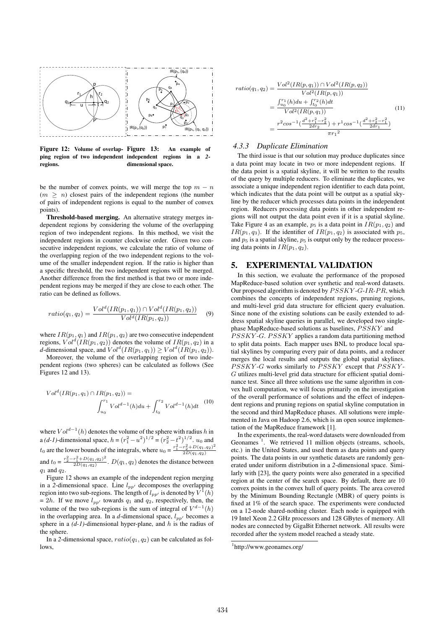

Figure 12: Volume of overlap- Figure 13: ping region of two independent independent regions in a *2* regions. An example of dimensional space.

be the number of convex points, we will merge the top  $m - n$  $(m > n)$  closest pairs of the independent regions (the number of pairs of independent regions is equal to the number of convex points).

Threshold-based merging. An alternative strategy merges independent regions by considering the volume of the overlapping region of two independent regions. In this method, we visit the independent regions in counter clockwise order. Given two consecutive independent regions, we calculate the ratio of volume of the overlapping region of the two independent regions to the volume of the smaller independent region. If the ratio is higher than a specific threshold, the two independent regions will be merged. Another difference from the first method is that two or more independent regions may be merged if they are close to each other. The ratio can be defined as follows.

$$
ratio(q_1, q_2) = \frac{Vol^d(IR(p_1, q_1)) \cap Vol^d(IR(p_1, q_2))}{Vol^d(IR(p_1, q_2))}
$$
(9)

where  $IR(p_1, q_1)$  and  $IR(p_1, q_2)$  are two consecutive independent regions,  $Vol<sup>d</sup>(IR(p<sub>1</sub>, q<sub>2</sub>))$  denotes the volume of  $IR(p<sub>1</sub>, q<sub>2</sub>)$  in a *d*-dimensional space, and  $Vol<sup>d</sup>(IR(p<sub>1</sub>, q<sub>1</sub>)) \ge Vol<sup>d</sup>(IR(p<sub>1</sub>, q<sub>2</sub>)).$ 

Moreover, the volume of the overlapping region of two independent regions (two spheres) can be calculated as follows (See Figures 12 and 13).

$$
Vold(IR(p1, q1) \cap IR(p1, q2)) =
$$

$$
\int_{u_0}^{r_1} Vold-1(h) du + \int_{t_0}^{r_2} Vold-1(h) dt
$$
 (10)

where  $Vol^{d-1}(h)$  denotes the volume of the sphere with radius h in a (d-1)-dimensional space,  $h = (r_1^2 - u^2)^{1/2} = (r_2^2 - t^2)^{1/2}$ .  $u_0$  and  $t_0$  are the lower bounds of the integrals, where  $u_0 = \frac{r_1^2 - r_2^2 + D(q_1, q_2)^2}{2D(q_1, q_2)}$  $2D(q_1,q_2)$ and  $t_0 = \frac{r_2^2 - r_1^2 + D(q_1, q_2)^2}{2D(q_1, q_2)}$  $\frac{p_1+D(q_1,q_2)}{2D(q_1,q_2)}$ .  $D(q_1,q_2)$  denotes the distance between  $q_1$  and  $q_2$ .

Figure 12 shows an example of the independent region merging in a 2-dimensional space. Line  $l_{pp'}$  decomposes the overlapping region into two sub-regions. The length of  $l_{pp'}$  is denoted by  $V^1(h)$ = 2h. If we move  $l_{pp'}$  towards  $q_1$  and  $q_2$ , respectively, then, the volume of the two sub-regions is the sum of integral of  $V^{d-1}(h)$ in the overlapping area. In a  $d$ -dimensional space,  $l_{pp'}$  becomes a sphere in a  $(d-1)$ -dimensional hyper-plane, and h is the radius of the sphere.

In a 2-dimensional space,  $ratio(q_1, q_2)$  can be calculated as follows,

$$
ratio(q_1, q_2) = \frac{Vol^2(IR(p, q_1)) \cap Vol^2(IR(p, q_2))}{Vol^2(IR(p, q_1))}
$$
  
= 
$$
\frac{\int_{u_0}^{r_1}(h)du + \int_{t_0}^{r_2}(h)dt}{Vol^2(IR(p, q_1))}
$$
  
= 
$$
\frac{r^2 cos^{-1}(\frac{d^2 + r_1^2 - r_2^2}{2dr_2}) + r^1 cos^{-1}(\frac{d^2 + r_2^2 - r_1^2}{2dr_1})}{\pi r_1^2}
$$
 (11)

#### *4.3.3 Duplicate Elimination*

The third issue is that our solution may produce duplicates since a data point may locate in two or more independent regions. If the data point is a spatial skyline, it will be written to the results of the query by multiple reducers. To eliminate the duplicates, we associate a unique independent region identifier to each data point, which indicates that the data point will be output as a spatial skyline by the reducer which processes data points in the independent region. Reducers processing data points in other independent regions will not output the data point even if it is a spatial skyline. Take Figure 4 as an example,  $p_5$  is a data point in  $IR(p_1, q_2)$  and  $IR(p_1, q_3)$ . If the identifier of  $IR(p_1, q_2)$  is associated with  $p_5$ , and  $p_5$  is a spatial skyline,  $p_5$  is output only by the reducer processing data points in  $IR(p_1, q_2)$ .

## 5. EXPERIMENTAL VALIDATION

In this section, we evaluate the performance of the proposed MapReduce-based solution over synthetic and real-word datasets. Our proposed algorithm is denoted by  $PSSKY$ -G-IR-PR, which combines the concepts of independent regions, pruning regions, and multi-level grid data structure for efficient query evaluation. Since none of the existing solutions can be easily extended to address spatial skyline queries in parallel, we developed two singlephase MapReduce-based solutions as baselines, PSSKY and PSSKY-G. PSSKY applies a random data partitioning method to split data points. Each mapper uses BNL to produce local spatial skylines by comparing every pair of data points, and a reducer merges the local results and outputs the global spatial skylines.  $PSSKY-G$  works similarly to  $PSSKY$  except that  $PSSKY$ -G utilizes multi-level grid data structure for efficient spatial dominance test. Since all three solutions use the same algorithm in convex hull computation, we will focus primarily on the investigation of the overall performance of solutions and the effect of independent regions and pruning regions on spatial skyline computation in the second and third MapReduce phases. All solutions were implemented in Java on Hadoop 2.6, which is an open source implementation of the MapReduce framework [1].

In the experiments, the real-word datasets were downloaded from Geonames<sup>1</sup>. We retrieved 11 million objects (streams, schools, etc.) in the United States, and used them as data points and query points. The data points in our synthetic datasets are randomly generated under uniform distribution in a *2*-dimensional space. Similarly with [23], the query points were also generated in a specified region at the center of the search space. By default, there are 10 convex points in the convex hull of query points. The area covered by the Minimum Bounding Rectangle (MBR) of query points is fixed at 1% of the search space. The experiments were conducted on a 12-node shared-nothing cluster. Each node is equipped with 19 Intel Xeon 2.2 GHz processors and 128 GBytes of memory. All nodes are connected by GigaBit Ethernet network. All results were recorded after the system model reached a steady state.

<sup>1</sup> http://www.geonames.org/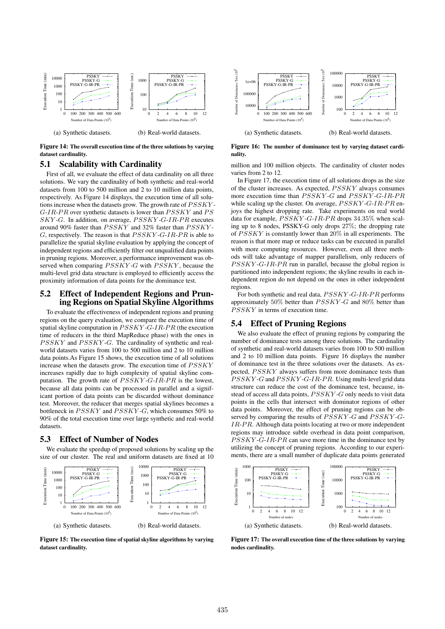

Figure 14: The overall execution time of the three solutions by varying dataset cardinality.

# 5.1 Scalability with Cardinality

First of all, we evaluate the effect of data cardinality on all three solutions. We vary the cardinality of both synthetic and real-world datasets from 100 to 500 million and 2 to 10 million data points, respectively. As Figure 14 displays, the execution time of all solutions increase when the datasets grow. The growth rate of  $\overline{PSSKY}$ - $G$ -IR-PR over synthetic datasets is lower than  $\overline{PSSKY}$  and  $\overline{PS}$  $SKY$ -G. In addition, on average,  $PSSKY$ -G-IR-PR executes around 90% faster than  $\overline{PSSKY}$  and 32% faster than  $\overline{PSSKY}$ - $G$ , respectively. The reason is that  $PSSKY-G-IR-PR$  is able to parallelize the spatial skyline evaluation by applying the concept of independent regions and efficiently filter out unqualified data points in pruning regions. Moreover, a performance improvement was observed when comparing  $\overline{PSSKY}$ -G with  $\overline{PSSKY}$ , because the multi-level grid data structure is employed to efficiently access the proximity information of data points for the dominance test.

# 5.2 Effect of Independent Regions and Pruning Regions on Spatial Skyline Algorithms

To evaluate the effectiveness of independent regions and pruning regions on the query evaluation, we compare the execution time of spatial skyline computation in  $PSSKY$ -G-IR-PR (the execution time of reducers in the third MapReduce phase) with the ones in PSSKY and PSSKY-G. The cardinality of synthetic and realworld datasets varies from 100 to 500 million and 2 to 10 million data points.As Figure 15 shows, the execution time of all solutions increase when the datasets grow. The execution time of  $PSSKY$ increases rapidly due to high complexity of spatial skyline computation. The growth rate of  $\overline{PSSKY}$ -G-IR-PR is the lowest, because all data points can be processed in parallel and a significant portion of data points can be discarded without dominance test. Moreover, the reducer that merges spatial skylines becomes a bottleneck in  $PSSKY$  and  $PSSKY-G$ , which consumes 50% to 90% of the total execution time over large synthetic and real-world datasets.

# 5.3 Effect of Number of Nodes

We evaluate the speedup of proposed solutions by scaling up the size of our cluster. The real and uniform datasets are fixed at 10



Figure 15: The execution time of spatial skyline algorithms by varying dataset cardinality.



Figure 16: The number of dominance test by varying dataset cardinality.

million and 100 million objects. The cardinality of cluster nodes varies from 2 to 12.

In Figure 17, the execution time of all solutions drops as the size of the cluster increases. As expected, PSSKY always consumes more execution time than  $PSSKY-G$  and  $PSSKY-G-IR-PR$ while scaling up the cluster. On average,  $\overline{PSSKY}$ -G-IR-PR enjoys the highest dropping rate. Take experiments on real world data for example,  $\overline{PSSKY}$ -G-IR-PR drops 34.35% when scaling up to 8 nodes, PSSKY-G only drops 27%; the dropping rate of  $PSSKY$  is constantly lower than  $20\%$  in all experiments. The reason is that more map or reduce tasks can be executed in parallel with more computing resources. However, even all three methods will take advantage of mapper parallelism, only reducers of  $PSSKY$ -G-IR-PR run in parallel, because the global region is partitioned into independent regions; the skyline results in each independent region do not depend on the ones in other independent regions.

For both synthetic and real data,  $PSSKY$ -G-IR-PR performs approximately 50% better than  $PSSKY-G$  and 80% better than  $PSSKY$  in terms of execution time.

# 5.4 Effect of Pruning Regions

We also evaluate the effect of pruning regions by comparing the number of dominance tests among three solutions. The cardinality of synthetic and real-world datasets varies from 100 to 500 million and 2 to 10 million data points. Figure 16 displays the number of dominance test in the three solutions over the datasets. As expected, PSSKY always suffers from more dominance tests than PSSKY-G and PSSKY-G-IR-PR. Using multi-level grid data structure can reduce the cost of the dominance test, because, instead of access all data points,  $\overline{PSSKY}$ -G only needs to visit data points in the cells that intersect with dominator regions of other data points. Moreover, the effect of pruning regions can be observed by comparing the results of  $PSSKY-G$  and  $PSSKY-G$ IR-PR. Although data points locating at two or more independent regions may introduce subtle overhead in data point comparison,  $PSSKY$ -G-IR- $PR$  can save more time in the dominance test by utilizing the concept of pruning regions. According to our experiments, there are a small number of duplicate data points generated



Figure 17: The overall execution time of the three solutions by varying nodes cardinality.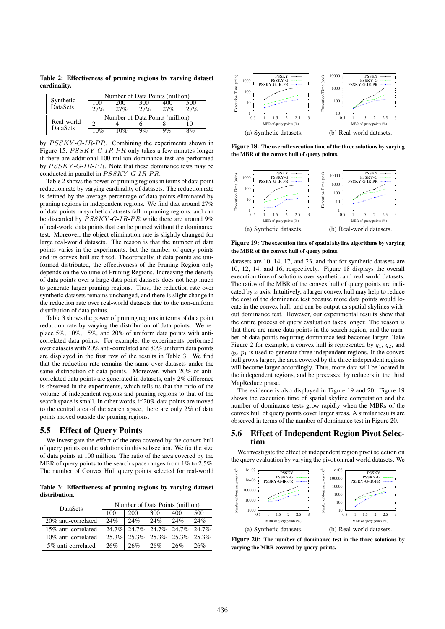Table 2: Effectiveness of pruning regions by varying dataset cardinality.

| Synthetic<br><b>DataSets</b>  | Number of Data Points (million) |              |  |  |  |  |  |
|-------------------------------|---------------------------------|--------------|--|--|--|--|--|
|                               |                                 |              |  |  |  |  |  |
|                               |                                 |              |  |  |  |  |  |
| Real-world<br><b>DataSets</b> | Number of Data Points (million) |              |  |  |  |  |  |
|                               |                                 |              |  |  |  |  |  |
|                               |                                 | $\mathbf{U}$ |  |  |  |  |  |

by  $\textit{PSSKY-G-IR-PR}.$  Combining the experiments shown in Figure 15,  $\textit{PSSKY-G-IR-PR}$  only takes a few minutes longer if there are additional 100 million dominance test are performed by  $PSSKY$ -G-IR-PR. Note that these dominance tests may be conducted in parallel in  $PSSKY$ -G-IR-PR.

Table 2 shows the power of pruning regions in terms of data point reduction rate by varying cardinality of datasets. The reduction rate is defined by the average percentage of data points eliminated by pruning regions in independent regions. We find that around 27% of data points in synthetic datasets fall in pruning regions, and can be discarded by  $PSSKY-G-IR-PR$  while there are around 9% of real-world data points that can be pruned without the dominance test. Moreover, the object elimination rate is slightly changed for large real-world datasets. The reason is that the number of data points varies in the experiments, but the number of query points and its convex hull are fixed. Theoretically, if data points are uniformed distributed, the effectiveness of the Pruning Region only depends on the volume of Pruning Regions. Increasing the density of data points over a large data point datasets does not help much to generate larger pruning regions. Thus, the reduction rate over synthetic datasets remains unchanged, and there is slight change in the reduction rate over real-world datasets due to the non-uniform distribution of data points.

Table 3 shows the power of pruning regions in terms of data point reduction rate by varying the distribution of data points. We replace 5%, 10%, 15%, and 20% of uniform data points with anticorrelated data points. For example, the experiments performed over datasets with 20% anti-correlated and 80% uniform data points are displayed in the first row of the results in Table 3. We find that the reduction rate remains the same over datasets under the same distribution of data points. Moreover, when 20% of anticorrelated data points are generated in datasets, only 2% difference is observed in the experiments, which tells us that the ratio of the volume of independent regions and pruning regions to that of the search space is small. In other words, if 20% data points are moved to the central area of the search space, there are only 2% of data points moved outside the pruning regions.

#### 5.5 Effect of Query Points

We investigate the effect of the area covered by the convex hull of query points on the solutions in this subsection. We fix the size of data points at 100 million. The ratio of the area covered by the MBR of query points to the search space ranges from  $1\%$  to  $2.5\%$ . The number of Convex Hull query points selected for real-world

Table 3: Effectiveness of pruning regions by varying dataset distribution.

| DataSets            | Number of Data Points (million) |          |          |          |          |  |
|---------------------|---------------------------------|----------|----------|----------|----------|--|
|                     | 100                             | 200      | 300      | 400      | 500      |  |
| 20% anti-correlated | 24%                             | 24%      | 24%      | 24%      | 24%      |  |
| 15% anti-correlated | $24.7\%$                        | $24.7\%$ | $24.7\%$ | $24.7\%$ | $24.7\%$ |  |
| 10% anti-correlated | $25.3\%$                        | $25.3\%$ | $25.3\%$ | $25.3\%$ | 25.3%    |  |
| 5% anti-correlated  | 26%                             | 26%      | 26%      | 26%      | 26%      |  |



Figure 18: The overall execution time of the three solutions by varying the MBR of the convex hull of query points.



Figure 19: The execution time of spatial skyline algorithms by varying the MBR of the convex hull of query points.

datasets are 10, 14, 17, and 23, and that for synthetic datasets are 10, 12, 14, and 16, respectively. Figure 18 displays the overall execution time of solutions over synthetic and real-world datasets. The ratios of the MBR of the convex hull of query points are indicated by  $x$  axis. Intuitively, a larger convex hull may help to reduce the cost of the dominance test because more data points would locate in the convex hull, and can be output as spatial skylines without dominance test. However, our experimental results show that the entire process of query evaluation takes longer. The reason is that there are more data points in the search region, and the number of data points requiring dominance test becomes larger. Take Figure 2 for example, a convex hull is represented by  $q_1$ ,  $q_2$ , and  $q_3$ .  $p_1$  is used to generate three independent regions. If the convex hull grows larger, the area covered by the three independent regions will become larger accordingly. Thus, more data will be located in the independent regions, and be processed by reducers in the third MapReduce phase.

The evidence is also displayed in Figure 19 and 20. Figure 19 shows the execution time of spatial skyline computation and the number of dominance tests grow rapidly when the MBRs of the convex hull of query points cover larger areas. A similar results are observed in terms of the number of dominance test in Figure 20.

#### 5.6 Effect of Independent Region Pivot Selection

We investigate the effect of independent region pivot selection on the query evaluation by varying the pivot on real world datasets. We



Figure 20: The number of dominance test in the three solutions by varying the MBR covered by query points.